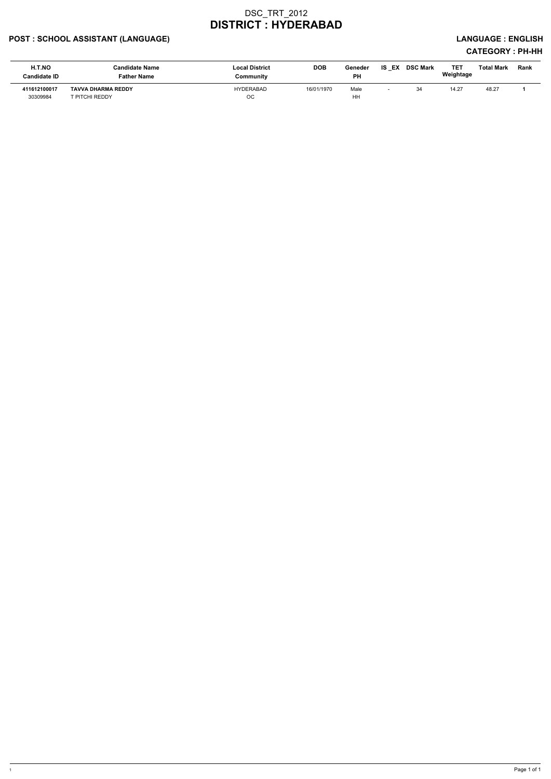## POST : SCHOOL ASSISTANT (LANGUAGE) And the state of the state of the state of the state of the state of the state of the state of the state of the state of the state of the state of the state of the state of the state of t

| H.T.NO<br>Candidate ID   | Candidate Name<br><b>Father Name</b>        | <b>Local District</b><br>Community | <b>DOB</b> | Geneder<br><b>PH</b> | IS EX DSC Mark | <b>TET</b><br>Weightage | Total Mark | Rank |
|--------------------------|---------------------------------------------|------------------------------------|------------|----------------------|----------------|-------------------------|------------|------|
| 411612100017<br>30309984 | <b>TAVVA DHARMA REDDY</b><br>r PITCHI REDDY | <b>HYDERABAD</b><br>OC             | 16/01/1970 | Male<br>HH           | 34             | 14.27                   | 48.27      |      |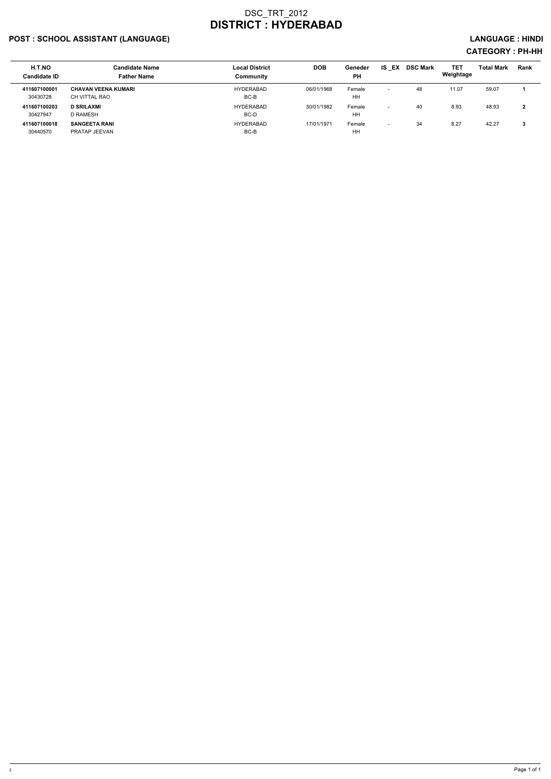## POST : SCHOOL ASSISTANT (LANGUAGE) And the set of the set of the set of the set of the set of the set of the set of the set of the set of the set of the set of the set of the set of the set of the set of the set of the set

| H.T.NO<br><b>Candidate ID</b> | <b>Candidate Name</b><br><b>Father Name</b> | <b>Local District</b><br>Community | <b>DOB</b> | Geneder<br><b>PH</b> | IS<br>EX                 | <b>DSC Mark</b> | <b>TET</b><br>Weightage | <b>Total Mark</b> | Rank   |
|-------------------------------|---------------------------------------------|------------------------------------|------------|----------------------|--------------------------|-----------------|-------------------------|-------------------|--------|
| 411607100001<br>30430728      | <b>CHAVAN VEENA KUMARI</b><br>CH VITTAL RAO | HYDERABAD<br>BC-B                  | 06/01/1968 | Female<br>HH         | $\sim$                   | 48              | 11.07                   | 59.07             |        |
| 411607100203<br>30427947      | <b>D SRILAXMI</b><br>D RAMESH               | HYDERABAD<br>BC-D                  | 30/01/1982 | Female<br>HH         | $\overline{\phantom{0}}$ | 40              | 8.93                    | 48.93             | n<br>▴ |
| 411607100018<br>30440570      | <b>SANGEETA RANI</b><br>PRATAP JEEVAN       | <b>HYDERABAD</b><br>BC-B           | 17/01/1971 | Female<br>HH         | $\overline{\phantom{0}}$ | 34              | 8.27                    | 42.27             | A      |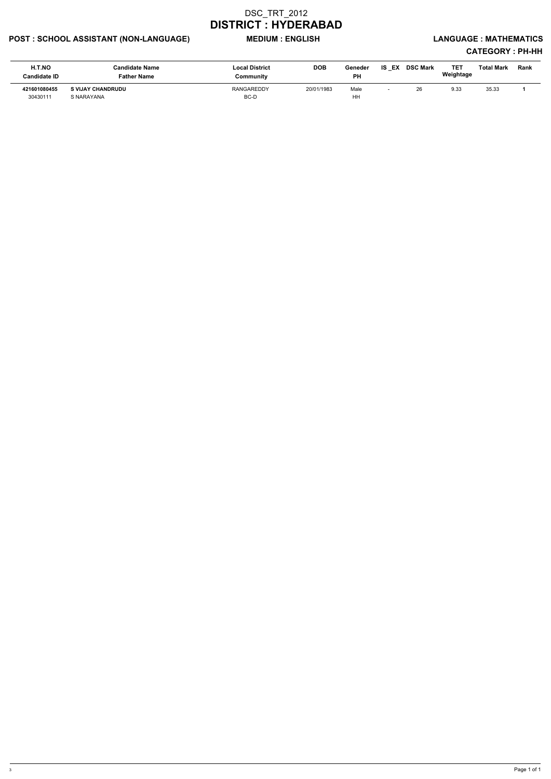## POST : SCHOOL ASSISTANT (NON-LANGUAGE) MEDIUM : ENGLISH LANGUAGE : MATHEMATICS

| H.T.NO<br><b>Candidate ID</b> | <b>Candidate Name</b><br>Father Name   | <b>Local District</b><br>Community | <b>DOB</b> | Geneder<br><b>PH</b> | EX<br>IS | <b>DSC Mark</b> | TE1<br>Weightage | <b>Total Mark</b> | Rank |
|-------------------------------|----------------------------------------|------------------------------------|------------|----------------------|----------|-----------------|------------------|-------------------|------|
| 421601080455<br>30430111      | <b>S VIJAY CHANDRUDU</b><br>S NARAYANA | RANGAREDDY<br>BC-D                 | 20/01/1983 | Male<br>HH           |          | 26              | 9.33             | 35.33             |      |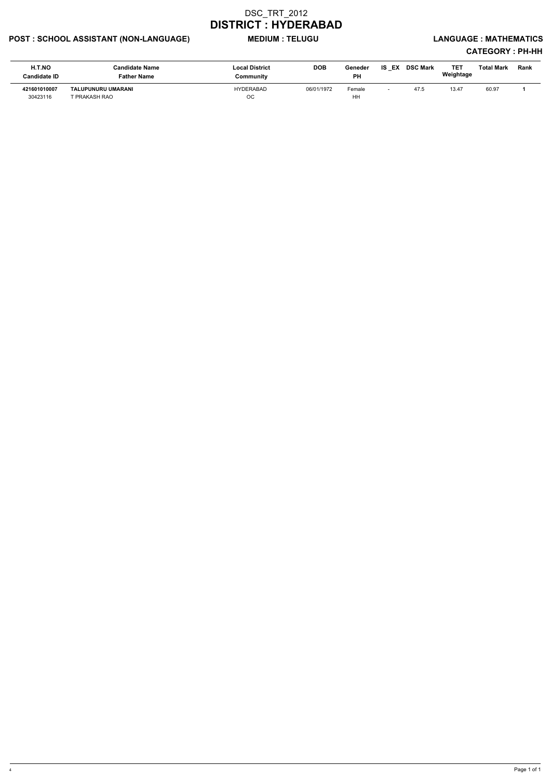## POST : SCHOOL ASSISTANT (NON-LANGUAGE) MEDIUM : TELUGU LANGUAGE : MATHEMATICS

| H.T.NO<br><b>Candidate ID</b> | Candidate Name<br>Father Name       | <b>Local District</b><br>Community | <b>DOB</b> | Geneder<br>PН | <b>IS EX</b> | <b>DSC Mark</b> | TE1<br>Weightage | Total Mark | <b>Rank</b> |
|-------------------------------|-------------------------------------|------------------------------------|------------|---------------|--------------|-----------------|------------------|------------|-------------|
| 421601010007<br>30423116      | TALUPUNURU UMARANI<br>I PRAKASH RAO | HYDERABAD<br>OC                    | 06/01/1972 | Female<br>HH  |              | 47.5            | 13.47            | 60.97      |             |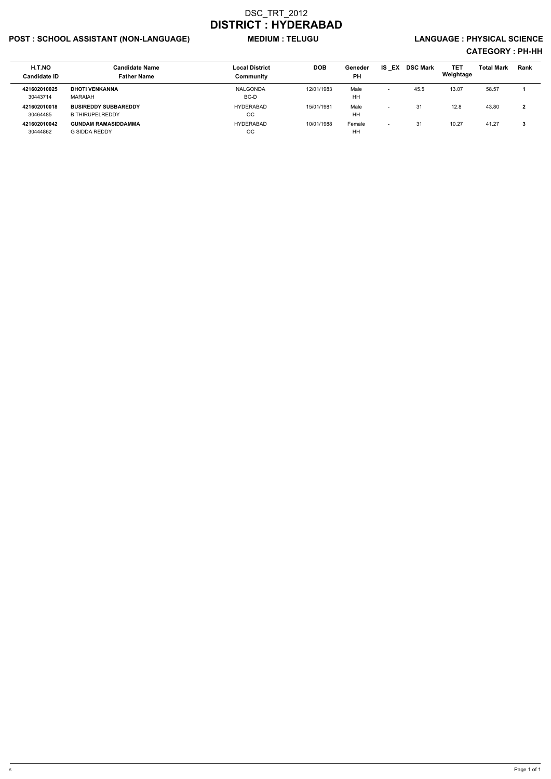## POST : SCHOOL ASSISTANT (NON-LANGUAGE) MEDIUM : TELUGU LANGUAGE : PHYSICAL SCIENCE

| <b>H.T.NO</b><br><b>Candidate ID</b> | <b>Candidate Name</b><br><b>Father Name</b>           | <b>Local District</b><br>Community | <b>DOB</b> | Geneder<br><b>PH</b> | IS.<br>EX                | <b>DSC Mark</b> | <b>TET</b><br>Weightage | <b>Total Mark</b> | <b>Rank</b> |
|--------------------------------------|-------------------------------------------------------|------------------------------------|------------|----------------------|--------------------------|-----------------|-------------------------|-------------------|-------------|
| 421602010025<br>30443714             | <b>DHOTI VENKANNA</b><br>MARAIAH                      | NALGONDA<br>BC-D                   | 12/01/1983 | Male<br>HH           | $\overline{\phantom{0}}$ | 45.5            | 13.07                   | 58.57             |             |
| 421602010018<br>30464485             | <b>BUSIREDDY SUBBAREDDY</b><br><b>B THIRUPELREDDY</b> | HYDERABAD<br>ОC                    | 15/01/1981 | Male<br>HH           | $\overline{\phantom{0}}$ | 31              | 12.8                    | 43.80             | 2           |
| 421602010042<br>30444862             | <b>GUNDAM RAMASIDDAMMA</b><br>G SIDDA REDDY           | HYDERABAD<br>OС                    | 10/01/1988 | Female<br>HH         | $\overline{\phantom{0}}$ | 31              | 10.27                   | 41.27             | 3           |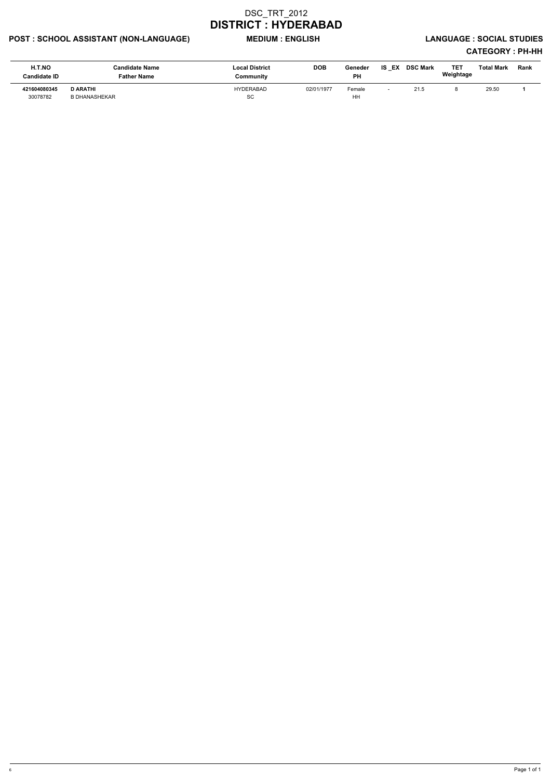## POST : SCHOOL ASSISTANT (NON-LANGUAGE) MEDIUM : ENGLISH LANGUAGE : SOCIAL STUDIES

| H.T.NO<br><b>Candidate ID</b> | Candidate Name<br>Father Name           | <b>Local District</b><br>Community | <b>DOB</b> | Geneder<br>PH | IS.<br>EX | <b>DSC Mark</b> | TE1<br>Weightage | Total Mark | Rank |
|-------------------------------|-----------------------------------------|------------------------------------|------------|---------------|-----------|-----------------|------------------|------------|------|
| 421604080345<br>30078782      | <b>D ARATHI</b><br><b>B DHANASHEKAR</b> | <b>HYDERABAD</b><br><b>SC</b>      | 02/01/1977 | Female<br>HH  |           | 21.5            |                  | 29.50      |      |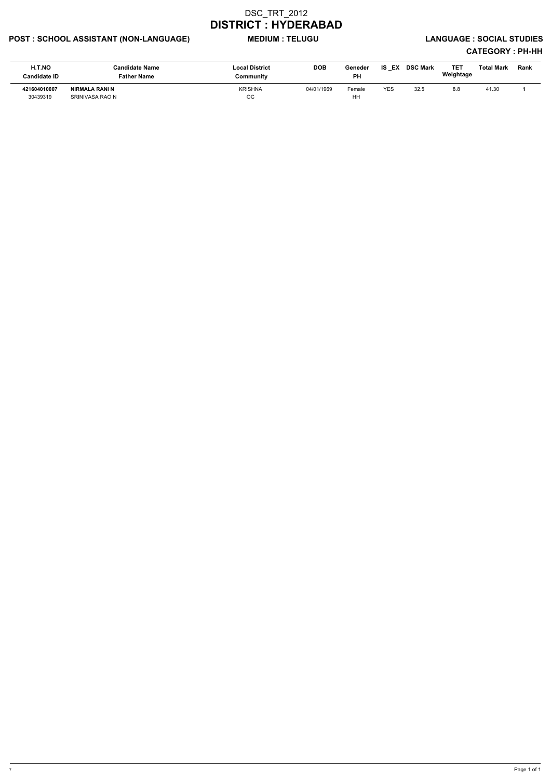## POST : SCHOOL ASSISTANT (NON-LANGUAGE) MEDIUM : TELUGU LANGUAGE : SOCIAL STUDIES

| H.T.NO<br><b>Candidate ID</b> | <b>Candidate Name</b><br><b>Father Name</b> | <b>Local District</b><br>Communitv | <b>DOB</b> | Geneder<br><b>PH</b> | IS EX      | <b>DSC Mark</b> | <b>TET</b><br>Weightage | Total Mark | Rank |
|-------------------------------|---------------------------------------------|------------------------------------|------------|----------------------|------------|-----------------|-------------------------|------------|------|
| 421604010007<br>30439319      | NIRMALA RANI N<br>SRINIVASA RAO N           | KRISHNA<br>ОC                      | 04/01/1969 | Female<br>HH         | <b>YES</b> | 32.5            | 8.8                     | 41.30      |      |